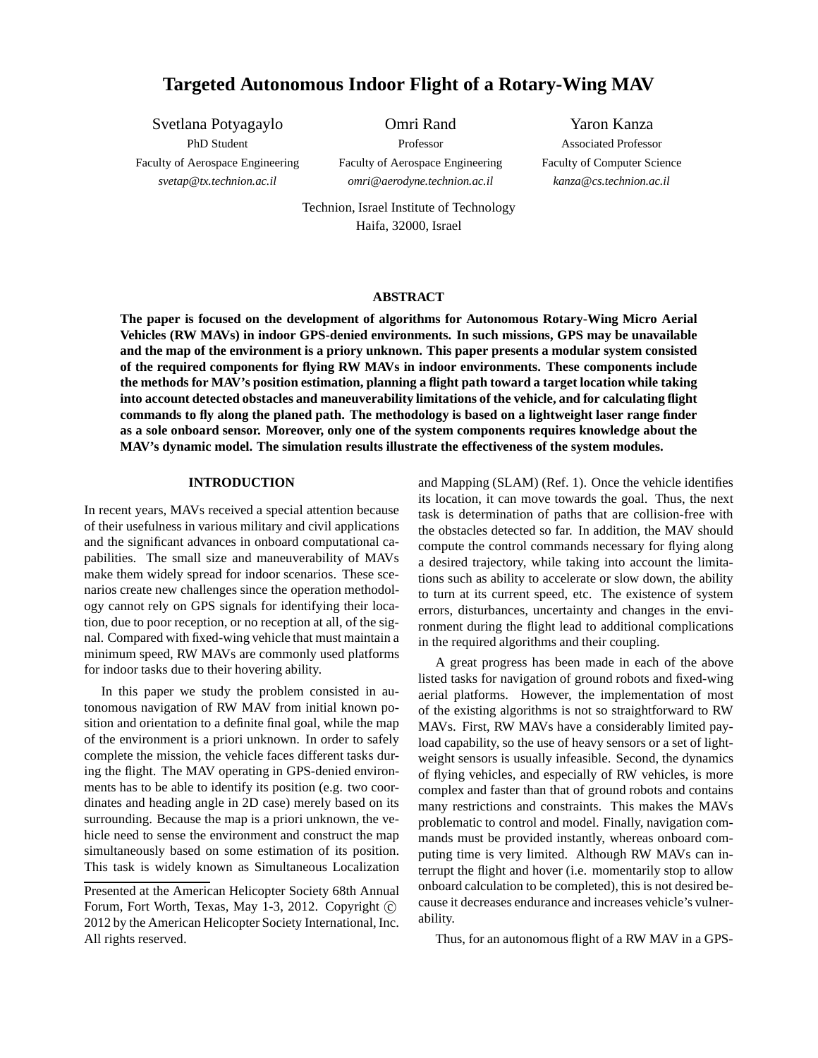# **Targeted Autonomous Indoor Flight of a Rotary-Wing MAV**

Svetlana Potyagaylo

PhD Student Faculty of Aerospace Engineering *svetap@tx.technion.ac.il*

Omri Rand Professor Faculty of Aerospace Engineering *omri@aerodyne.technion.ac.il*

Yaron Kanza Associated Professor Faculty of Computer Science *kanza@cs.technion.ac.il*

Technion, Israel Institute of Technology Haifa, 32000, Israel

### **ABSTRACT**

**The paper is focused on the development of algorithms for Autonomous Rotary-Wing Micro Aerial Vehicles (RW MAVs) in indoor GPS-denied environments. In such missions, GPS may be unavailable and the map of the environment is a priory unknown. This paper presents a modular system consisted of the required components for flying RW MAVs in indoor environments. These components include the methods for MAV's position estimation, planning a flight path toward a target location while taking into account detected obstacles and maneuverability limitations of the vehicle, and for calculating flight commands to fly along the planed path. The methodology is based on a lightweight laser range finder as a sole onboard sensor. Moreover, only one of the system components requires knowledge about the MAV's dynamic model. The simulation results illustrate the effectiveness of the system modules.**

## **INTRODUCTION**

In recent years, MAVs received a special attention because of their usefulness in various military and civil applications and the significant advances in onboard computational capabilities. The small size and maneuverability of MAVs make them widely spread for indoor scenarios. These scenarios create new challenges since the operation methodology cannot rely on GPS signals for identifying their location, due to poor reception, or no reception at all, of the signal. Compared with fixed-wing vehicle that must maintain a minimum speed, RW MAVs are commonly used platforms for indoor tasks due to their hovering ability.

In this paper we study the problem consisted in autonomous navigation of RW MAV from initial known position and orientation to a definite final goal, while the map of the environment is a priori unknown. In order to safely complete the mission, the vehicle faces different tasks during the flight. The MAV operating in GPS-denied environments has to be able to identify its position (e.g. two coordinates and heading angle in 2D case) merely based on its surrounding. Because the map is a priori unknown, the vehicle need to sense the environment and construct the map simultaneously based on some estimation of its position. This task is widely known as Simultaneous Localization and Mapping (SLAM) (Ref. 1). Once the vehicle identifies its location, it can move towards the goal. Thus, the next task is determination of paths that are collision-free with the obstacles detected so far. In addition, the MAV should compute the control commands necessary for flying along a desired trajectory, while taking into account the limitations such as ability to accelerate or slow down, the ability to turn at its current speed, etc. The existence of system errors, disturbances, uncertainty and changes in the environment during the flight lead to additional complications in the required algorithms and their coupling.

A great progress has been made in each of the above listed tasks for navigation of ground robots and fixed-wing aerial platforms. However, the implementation of most of the existing algorithms is not so straightforward to RW MAVs. First, RW MAVs have a considerably limited payload capability, so the use of heavy sensors or a set of lightweight sensors is usually infeasible. Second, the dynamics of flying vehicles, and especially of RW vehicles, is more complex and faster than that of ground robots and contains many restrictions and constraints. This makes the MAVs problematic to control and model. Finally, navigation commands must be provided instantly, whereas onboard computing time is very limited. Although RW MAVs can interrupt the flight and hover (i.e. momentarily stop to allow onboard calculation to be completed), this is not desired because it decreases endurance and increases vehicle's vulnerability.

Thus, for an autonomous flight of a RW MAV in a GPS-

Presented at the American Helicopter Society 68th Annual Forum, Fort Worth, Texas, May 1-3, 2012. Copyright  $\odot$ 2012 by the American Helicopter Society International, Inc. All rights reserved.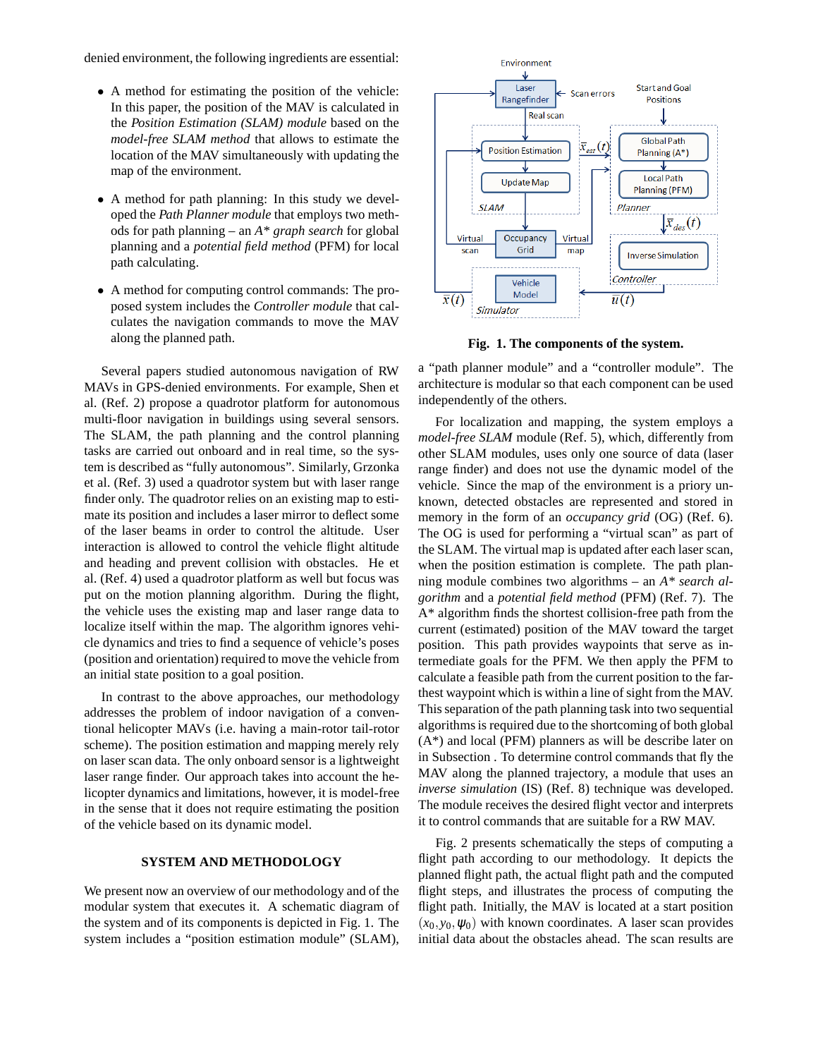denied environment, the following ingredients are essential:

- A method for estimating the position of the vehicle: In this paper, the position of the MAV is calculated in the *Position Estimation (SLAM) module* based on the *model-free SLAM method* that allows to estimate the location of the MAV simultaneously with updating the map of the environment.
- A method for path planning: In this study we developed the *Path Planner module* that employs two methods for path planning – an *A\* graph search* for global planning and a *potential field method* (PFM) for local path calculating.
- A method for computing control commands: The proposed system includes the *Controller module* that calculates the navigation commands to move the MAV along the planned path.

Several papers studied autonomous navigation of RW MAVs in GPS-denied environments. For example, Shen et al. (Ref. 2) propose a quadrotor platform for autonomous multi-floor navigation in buildings using several sensors. The SLAM, the path planning and the control planning tasks are carried out onboard and in real time, so the system is described as "fully autonomous". Similarly, Grzonka et al. (Ref. 3) used a quadrotor system but with laser range finder only. The quadrotor relies on an existing map to estimate its position and includes a laser mirror to deflect some of the laser beams in order to control the altitude. User interaction is allowed to control the vehicle flight altitude and heading and prevent collision with obstacles. He et al. (Ref. 4) used a quadrotor platform as well but focus was put on the motion planning algorithm. During the flight, the vehicle uses the existing map and laser range data to localize itself within the map. The algorithm ignores vehicle dynamics and tries to find a sequence of vehicle's poses (position and orientation) required to move the vehicle from an initial state position to a goal position.

In contrast to the above approaches, our methodology addresses the problem of indoor navigation of a conventional helicopter MAVs (i.e. having a main-rotor tail-rotor scheme). The position estimation and mapping merely rely on laser scan data. The only onboard sensor is a lightweight laser range finder. Our approach takes into account the helicopter dynamics and limitations, however, it is model-free in the sense that it does not require estimating the position of the vehicle based on its dynamic model.

## **SYSTEM AND METHODOLOGY**

We present now an overview of our methodology and of the modular system that executes it. A schematic diagram of the system and of its components is depicted in Fig. 1. The system includes a "position estimation module" (SLAM),



**Fig. 1. The components of the system.**

a "path planner module" and a "controller module". The architecture is modular so that each component can be used independently of the others.

For localization and mapping, the system employs a *model-free SLAM* module (Ref. 5), which, differently from other SLAM modules, uses only one source of data (laser range finder) and does not use the dynamic model of the vehicle. Since the map of the environment is a priory unknown, detected obstacles are represented and stored in memory in the form of an *occupancy grid* (OG) (Ref. 6). The OG is used for performing a "virtual scan" as part of the SLAM. The virtual map is updated after each laser scan, when the position estimation is complete. The path planning module combines two algorithms – an *A\* search algorithm* and a *potential field method* (PFM) (Ref. 7). The A\* algorithm finds the shortest collision-free path from the current (estimated) position of the MAV toward the target position. This path provides waypoints that serve as intermediate goals for the PFM. We then apply the PFM to calculate a feasible path from the current position to the farthest waypoint which is within a line of sight from the MAV. This separation of the path planning task into two sequential algorithms is required due to the shortcoming of both global (A\*) and local (PFM) planners as will be describe later on in Subsection . To determine control commands that fly the MAV along the planned trajectory, a module that uses an *inverse simulation* (IS) (Ref. 8) technique was developed. The module receives the desired flight vector and interprets it to control commands that are suitable for a RW MAV.

Fig. 2 presents schematically the steps of computing a flight path according to our methodology. It depicts the planned flight path, the actual flight path and the computed flight steps, and illustrates the process of computing the flight path. Initially, the MAV is located at a start position  $(x_0, y_0, \psi_0)$  with known coordinates. A laser scan provides initial data about the obstacles ahead. The scan results are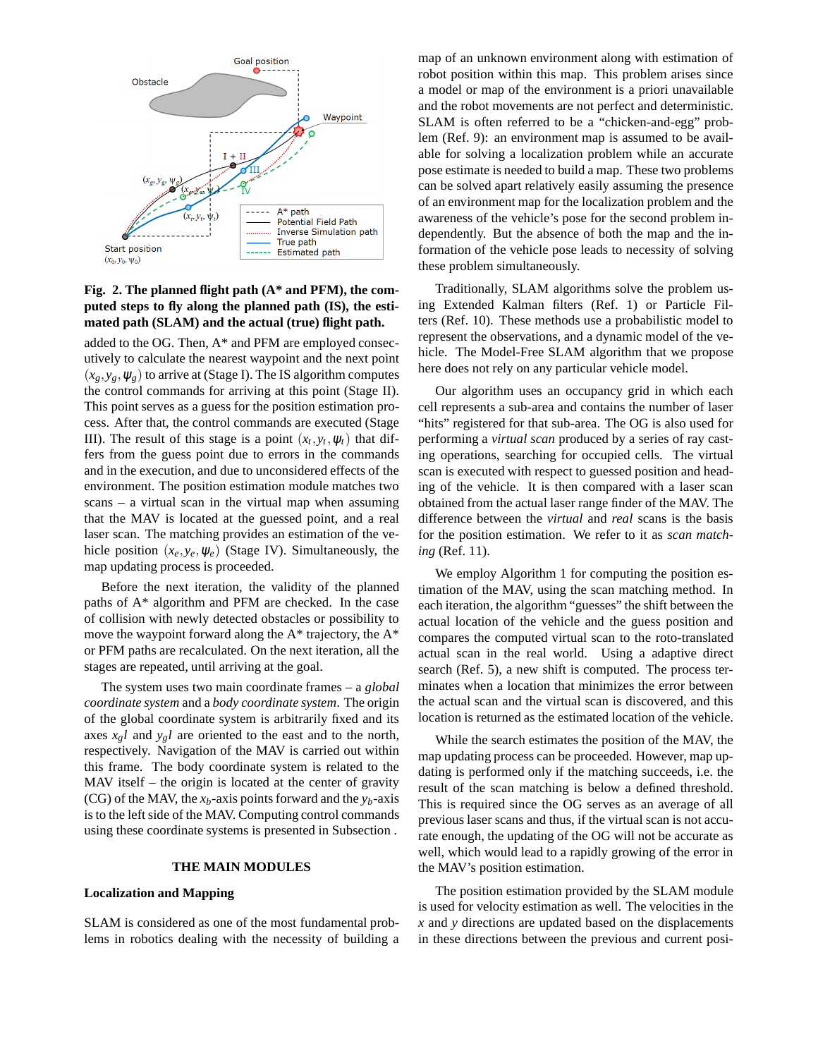

## **Fig. 2. The planned flight path (A\* and PFM), the computed steps to fly along the planned path (IS), the estimated path (SLAM) and the actual (true) flight path.**

added to the OG. Then, A\* and PFM are employed consecutively to calculate the nearest waypoint and the next point  $(x_g, y_g, \psi_g)$  to arrive at (Stage I). The IS algorithm computes the control commands for arriving at this point (Stage II). This point serves as a guess for the position estimation process. After that, the control commands are executed (Stage III). The result of this stage is a point  $(x_t, y_t, \psi_t)$  that differs from the guess point due to errors in the commands and in the execution, and due to unconsidered effects of the environment. The position estimation module matches two scans – a virtual scan in the virtual map when assuming that the MAV is located at the guessed point, and a real laser scan. The matching provides an estimation of the vehicle position  $(x_e, y_e, \psi_e)$  (Stage IV). Simultaneously, the map updating process is proceeded.

Before the next iteration, the validity of the planned paths of A\* algorithm and PFM are checked. In the case of collision with newly detected obstacles or possibility to move the waypoint forward along the  $A^*$  trajectory, the  $A^*$ or PFM paths are recalculated. On the next iteration, all the stages are repeated, until arriving at the goal.

The system uses two main coordinate frames – a *global coordinate system* and a *body coordinate system*. The origin of the global coordinate system is arbitrarily fixed and its axes  $x_g l$  and  $y_g l$  are oriented to the east and to the north, respectively. Navigation of the MAV is carried out within this frame. The body coordinate system is related to the MAV itself – the origin is located at the center of gravity (CG) of the MAV, the  $x_b$ -axis points forward and the  $y_b$ -axis is to the left side of the MAV. Computing control commands using these coordinate systems is presented in Subsection .

## **THE MAIN MODULES**

## **Localization and Mapping**

SLAM is considered as one of the most fundamental problems in robotics dealing with the necessity of building a map of an unknown environment along with estimation of robot position within this map. This problem arises since a model or map of the environment is a priori unavailable and the robot movements are not perfect and deterministic. SLAM is often referred to be a "chicken-and-egg" problem (Ref. 9): an environment map is assumed to be available for solving a localization problem while an accurate pose estimate is needed to build a map. These two problems can be solved apart relatively easily assuming the presence of an environment map for the localization problem and the awareness of the vehicle's pose for the second problem independently. But the absence of both the map and the information of the vehicle pose leads to necessity of solving these problem simultaneously.

Traditionally, SLAM algorithms solve the problem using Extended Kalman filters (Ref. 1) or Particle Filters (Ref. 10). These methods use a probabilistic model to represent the observations, and a dynamic model of the vehicle. The Model-Free SLAM algorithm that we propose here does not rely on any particular vehicle model.

Our algorithm uses an occupancy grid in which each cell represents a sub-area and contains the number of laser "hits" registered for that sub-area. The OG is also used for performing a *virtual scan* produced by a series of ray casting operations, searching for occupied cells. The virtual scan is executed with respect to guessed position and heading of the vehicle. It is then compared with a laser scan obtained from the actual laser range finder of the MAV. The difference between the *virtual* and *real* scans is the basis for the position estimation. We refer to it as *scan matching* (Ref. 11).

We employ Algorithm 1 for computing the position estimation of the MAV, using the scan matching method. In each iteration, the algorithm "guesses" the shift between the actual location of the vehicle and the guess position and compares the computed virtual scan to the roto-translated actual scan in the real world. Using a adaptive direct search (Ref. 5), a new shift is computed. The process terminates when a location that minimizes the error between the actual scan and the virtual scan is discovered, and this location is returned as the estimated location of the vehicle.

While the search estimates the position of the MAV, the map updating process can be proceeded. However, map updating is performed only if the matching succeeds, i.e. the result of the scan matching is below a defined threshold. This is required since the OG serves as an average of all previous laser scans and thus, if the virtual scan is not accurate enough, the updating of the OG will not be accurate as well, which would lead to a rapidly growing of the error in the MAV's position estimation.

The position estimation provided by the SLAM module is used for velocity estimation as well. The velocities in the *x* and *y* directions are updated based on the displacements in these directions between the previous and current posi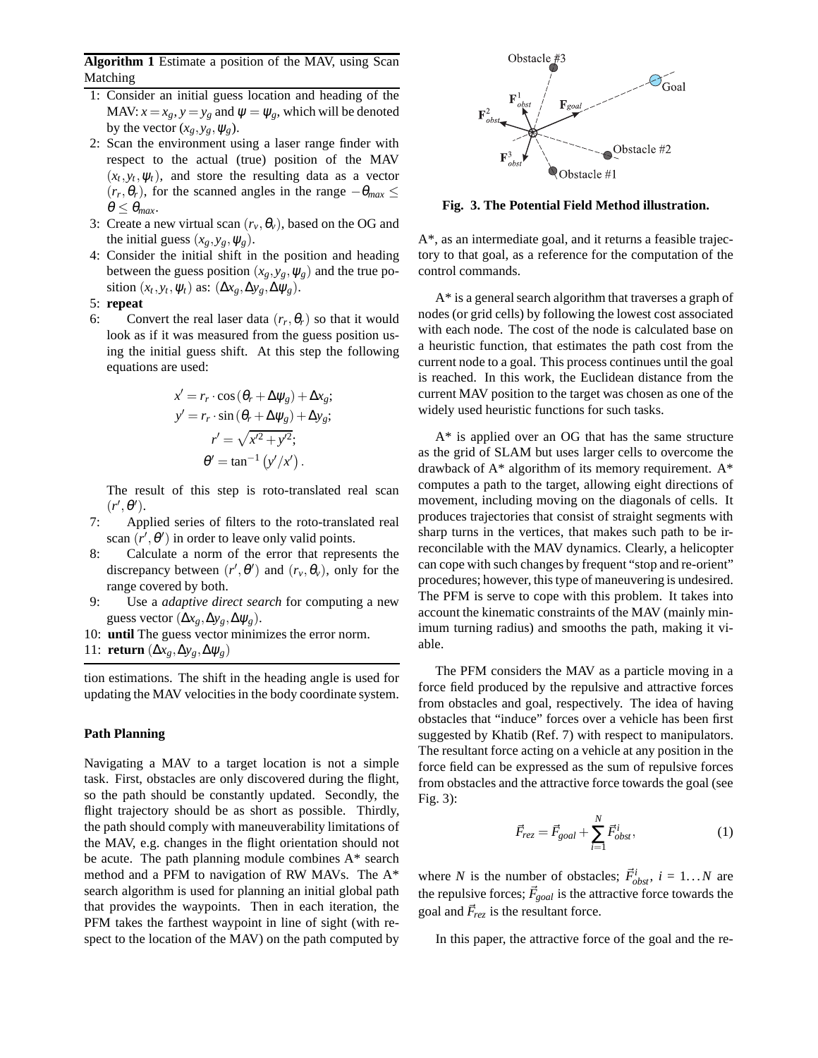**Algorithm 1** Estimate a position of the MAV, using Scan Matching

- 1: Consider an initial guess location and heading of the MAV:  $x = x_g$ ,  $y = y_g$  and  $\psi = \psi_g$ , which will be denoted by the vector  $(x_g, y_g, \psi_g)$ .
- 2: Scan the environment using a laser range finder with respect to the actual (true) position of the MAV  $(x_t, y_t, \psi_t)$ , and store the resulting data as a vector  $(r_r, \theta_r)$ , for the scanned angles in the range  $-\theta_{max} \leq$  $\theta \leq \theta_{max}$ .
- 3: Create a new virtual scan  $(r_v, \theta_v)$ , based on the OG and the initial guess  $(x_g, y_g, \psi_g)$ .
- 4: Consider the initial shift in the position and heading between the guess position  $(x_g, y_g, \psi_g)$  and the true position  $(x_t, y_t, \psi_t)$  as:  $(\Delta x_g, \Delta y_g, \Delta \psi_g)$ .
- 5: **repeat**
- 6: Convert the real laser data  $(r_r, \theta_r)$  so that it would look as if it was measured from the guess position using the initial guess shift. At this step the following equations are used:

$$
x' = r_r \cdot \cos(\theta_r + \Delta \psi_g) + \Delta x_g;
$$
  
\n
$$
y' = r_r \cdot \sin(\theta_r + \Delta \psi_g) + \Delta y_g;
$$
  
\n
$$
r' = \sqrt{x'^2 + y'^2};
$$
  
\n
$$
\theta' = \tan^{-1}(y'/x').
$$

The result of this step is roto-translated real scan  $(r', \theta')$ .

- 7: Applied series of filters to the roto-translated real scan  $(r', \theta')$  in order to leave only valid points.
- 8: Calculate a norm of the error that represents the discrepancy between  $(r', \theta')$  and  $(r_v, \theta_v)$ , only for the range covered by both.
- 9: Use a *adaptive direct search* for computing a new guess vector  $(\Delta x_g, \Delta y_g, \Delta \psi_g)$ .
- 10: **until** The guess vector minimizes the error norm.

11: **return**  $(\Delta x_g, \Delta y_g, \Delta \psi_g)$ 

tion estimations. The shift in the heading angle is used for updating the MAV velocities in the body coordinate system.

## **Path Planning**

Navigating a MAV to a target location is not a simple task. First, obstacles are only discovered during the flight, so the path should be constantly updated. Secondly, the flight trajectory should be as short as possible. Thirdly, the path should comply with maneuverability limitations of the MAV, e.g. changes in the flight orientation should not be acute. The path planning module combines A\* search method and a PFM to navigation of RW MAVs. The A\* search algorithm is used for planning an initial global path that provides the waypoints. Then in each iteration, the PFM takes the farthest waypoint in line of sight (with respect to the location of the MAV) on the path computed by



**Fig. 3. The Potential Field Method illustration.**

A\*, as an intermediate goal, and it returns a feasible trajectory to that goal, as a reference for the computation of the control commands.

A\* is a general search algorithm that traverses a graph of nodes (or grid cells) by following the lowest cost associated with each node. The cost of the node is calculated base on a heuristic function, that estimates the path cost from the current node to a goal. This process continues until the goal is reached. In this work, the Euclidean distance from the current MAV position to the target was chosen as one of the widely used heuristic functions for such tasks.

A\* is applied over an OG that has the same structure as the grid of SLAM but uses larger cells to overcome the drawback of A\* algorithm of its memory requirement. A\* computes a path to the target, allowing eight directions of movement, including moving on the diagonals of cells. It produces trajectories that consist of straight segments with sharp turns in the vertices, that makes such path to be irreconcilable with the MAV dynamics. Clearly, a helicopter can cope with such changes by frequent "stop and re-orient" procedures; however, this type of maneuvering is undesired. The PFM is serve to cope with this problem. It takes into account the kinematic constraints of the MAV (mainly minimum turning radius) and smooths the path, making it viable.

The PFM considers the MAV as a particle moving in a force field produced by the repulsive and attractive forces from obstacles and goal, respectively. The idea of having obstacles that "induce" forces over a vehicle has been first suggested by Khatib (Ref. 7) with respect to manipulators. The resultant force acting on a vehicle at any position in the force field can be expressed as the sum of repulsive forces from obstacles and the attractive force towards the goal (see Fig. 3):

$$
\vec{F}_{rez} = \vec{F}_{goal} + \sum_{i=1}^{N} \vec{F}_{obst}^{i},\tag{1}
$$

where *N* is the number of obstacles;  $\vec{F}_{obst}^i$ ,  $i = 1...N$  are the repulsive forces;  $\vec{F}_{goal}$  is the attractive force towards the goal and  $\vec{F}_{\text{rez}}$  is the resultant force.

In this paper, the attractive force of the goal and the re-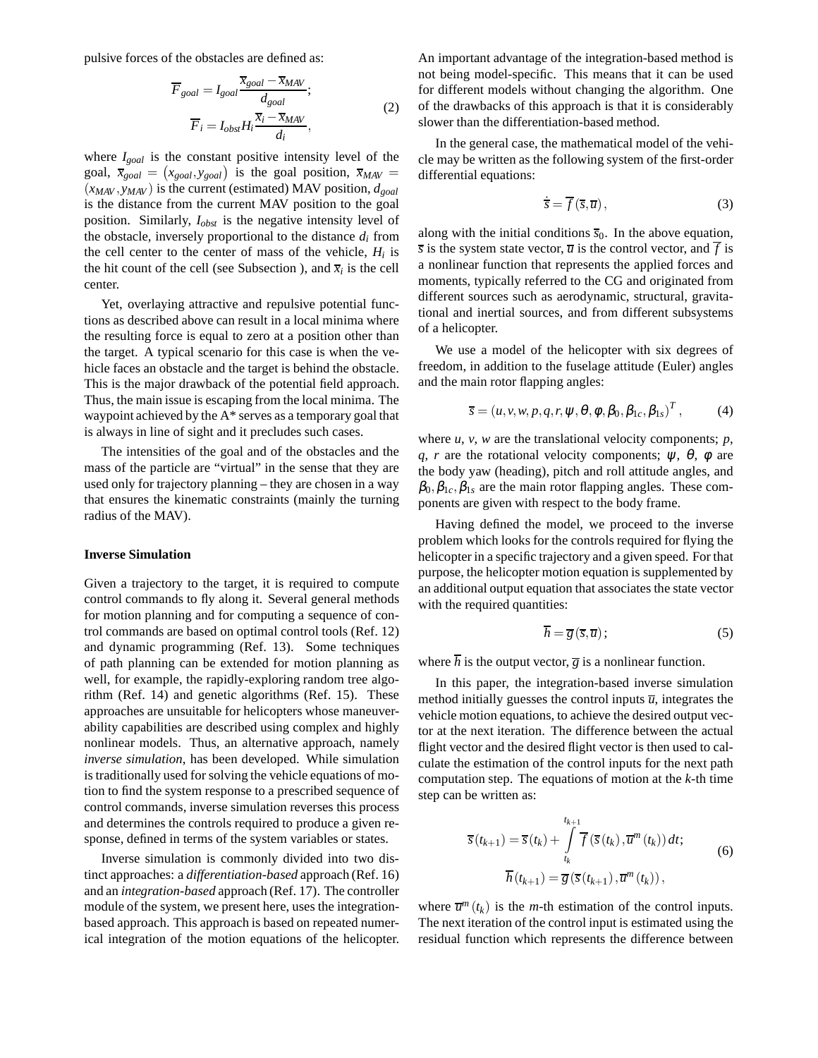pulsive forces of the obstacles are defined as:

$$
\overline{F}_{goal} = I_{goal} \frac{\overline{x}_{goal} - \overline{x}_{MAN}}{d_{goal}}; \n\overline{F}_i = I_{obs} H_i \frac{\overline{x}_i - \overline{x}_{MAN}}{d_i},
$$
\n(2)

where *Igoal* is the constant positive intensity level of the goal,  $\bar{x}_{goal} = (x_{goal}, y_{goal})$  is the goal position,  $\bar{x}_{MAN}$  $(x_{MAX}, y_{MAX})$  is the current (estimated) MAV position,  $d_{goal}$ is the distance from the current MAV position to the goal position. Similarly, *Iobst* is the negative intensity level of the obstacle, inversely proportional to the distance  $d_i$  from the cell center to the center of mass of the vehicle,  $H_i$  is the hit count of the cell (see Subsection ), and  $\overline{x}_i$  is the cell center.

Yet, overlaying attractive and repulsive potential functions as described above can result in a local minima where the resulting force is equal to zero at a position other than the target. A typical scenario for this case is when the vehicle faces an obstacle and the target is behind the obstacle. This is the major drawback of the potential field approach. Thus, the main issue is escaping from the local minima. The waypoint achieved by the A\* serves as a temporary goal that is always in line of sight and it precludes such cases.

The intensities of the goal and of the obstacles and the mass of the particle are "virtual" in the sense that they are used only for trajectory planning – they are chosen in a way that ensures the kinematic constraints (mainly the turning radius of the MAV).

## **Inverse Simulation**

Given a trajectory to the target, it is required to compute control commands to fly along it. Several general methods for motion planning and for computing a sequence of control commands are based on optimal control tools (Ref. 12) and dynamic programming (Ref. 13). Some techniques of path planning can be extended for motion planning as well, for example, the rapidly-exploring random tree algorithm (Ref. 14) and genetic algorithms (Ref. 15). These approaches are unsuitable for helicopters whose maneuverability capabilities are described using complex and highly nonlinear models. Thus, an alternative approach, namely *inverse simulation*, has been developed. While simulation is traditionally used for solving the vehicle equations of motion to find the system response to a prescribed sequence of control commands, inverse simulation reverses this process and determines the controls required to produce a given response, defined in terms of the system variables or states.

Inverse simulation is commonly divided into two distinct approaches: a *differentiation-based* approach (Ref. 16) and an *integration-based* approach (Ref. 17). The controller module of the system, we present here, uses the integrationbased approach. This approach is based on repeated numerical integration of the motion equations of the helicopter.

An important advantage of the integration-based method is not being model-specific. This means that it can be used for different models without changing the algorithm. One of the drawbacks of this approach is that it is considerably slower than the differentiation-based method.

In the general case, the mathematical model of the vehicle may be written as the following system of the first-order differential equations:

$$
\dot{\overline{s}} = \overline{f}(\overline{s}, \overline{u}), \qquad (3)
$$

along with the initial conditions  $\overline{s}_0$ . In the above equation,  $\overline{s}$  is the system state vector,  $\overline{u}$  is the control vector, and  $\overline{f}$  is a nonlinear function that represents the applied forces and moments, typically referred to the CG and originated from different sources such as aerodynamic, structural, gravitational and inertial sources, and from different subsystems of a helicopter.

We use a model of the helicopter with six degrees of freedom, in addition to the fuselage attitude (Euler) angles and the main rotor flapping angles:

$$
\overline{s} = (u, v, w, p, q, r, \psi, \theta, \phi, \beta_0, \beta_{1c}, \beta_{1s})^T, \qquad (4)
$$

where *u*, *v*, *w* are the translational velocity components; *p*, *q*, *r* are the rotational velocity components;  $\psi$ ,  $\theta$ ,  $\phi$  are the body yaw (heading), pitch and roll attitude angles, and  $\beta_0, \beta_{1c}, \beta_{1s}$  are the main rotor flapping angles. These components are given with respect to the body frame.

Having defined the model, we proceed to the inverse problem which looks for the controls required for flying the helicopter in a specific trajectory and a given speed. For that purpose, the helicopter motion equation is supplemented by an additional output equation that associates the state vector with the required quantities:

$$
\overline{h} = \overline{g}(\overline{s}, \overline{u}); \tag{5}
$$

where  $\overline{h}$  is the output vector,  $\overline{g}$  is a nonlinear function.

In this paper, the integration-based inverse simulation method initially guesses the control inputs  $\overline{u}$ , integrates the vehicle motion equations, to achieve the desired output vector at the next iteration. The difference between the actual flight vector and the desired flight vector is then used to calculate the estimation of the control inputs for the next path computation step. The equations of motion at the *k*-th time step can be written as:

$$
\overline{s}(t_{k+1}) = \overline{s}(t_k) + \int\limits_{t_k}^{t_{k+1}} \overline{f}(\overline{s}(t_k), \overline{u}^m(t_k)) dt;
$$
\n
$$
\overline{h}(t_{k+1}) = \overline{g}(\overline{s}(t_{k+1}), \overline{u}^m(t_k)),
$$
\n(6)

where  $\overline{u}^m(t_k)$  is the *m*-th estimation of the control inputs. The next iteration of the control input is estimated using the residual function which represents the difference between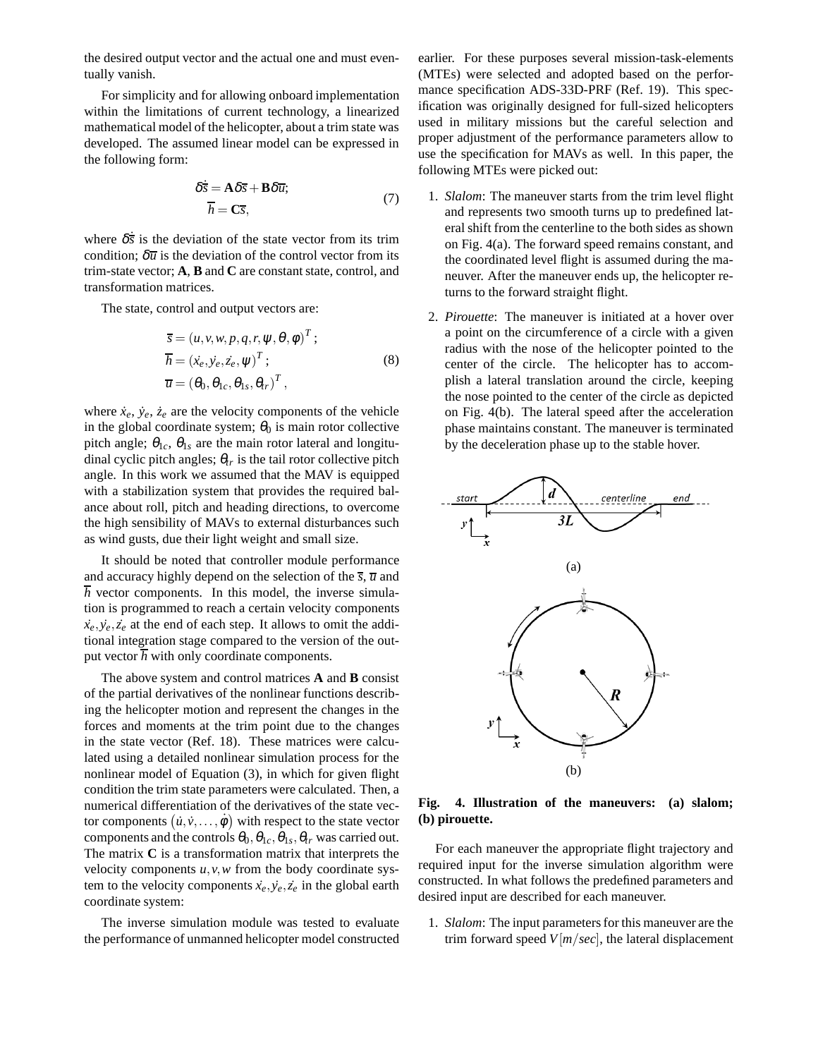the desired output vector and the actual one and must eventually vanish.

For simplicity and for allowing onboard implementation within the limitations of current technology, a linearized mathematical model of the helicopter, about a trim state was developed. The assumed linear model can be expressed in the following form:

$$
\delta \dot{\overline{s}} = A \delta \overline{s} + B \delta \overline{u}; \n\overline{h} = C \overline{s},
$$
\n(7)

where  $\delta \dot{\bar{s}}$  is the deviation of the state vector from its trim condition;  $\delta \overline{u}$  is the deviation of the control vector from its trim-state vector; **A**, **B** and **C** are constant state, control, and transformation matrices.

The state, control and output vectors are:

$$
\overline{s} = (u, v, w, p, q, r, \psi, \theta, \phi)^{T};
$$
  
\n
$$
\overline{h} = (\dot{x}_e, \dot{y}_e, \dot{z}_e, \psi)^{T};
$$
  
\n
$$
\overline{u} = (\theta_0, \theta_{1c}, \theta_{1s}, \theta_{tr})^{T},
$$
\n(8)

where  $\dot{x}_e$ ,  $\dot{y}_e$ ,  $\dot{z}_e$  are the velocity components of the vehicle in the global coordinate system;  $\theta_0$  is main rotor collective pitch angle;  $\theta_{1c}$ ,  $\theta_{1s}$  are the main rotor lateral and longitudinal cyclic pitch angles;  $\theta_{tr}$  is the tail rotor collective pitch angle. In this work we assumed that the MAV is equipped with a stabilization system that provides the required balance about roll, pitch and heading directions, to overcome the high sensibility of MAVs to external disturbances such as wind gusts, due their light weight and small size.

It should be noted that controller module performance and accuracy highly depend on the selection of the  $\overline{s}$ ,  $\overline{u}$  and  $\overline{h}$  vector components. In this model, the inverse simulation is programmed to reach a certain velocity components  $\dot{x}_e, \dot{y}_e, \dot{z}_e$  at the end of each step. It allows to omit the additional integration stage compared to the version of the output vector  $\overline{h}$  with only coordinate components.

The above system and control matrices **A** and **B** consist of the partial derivatives of the nonlinear functions describing the helicopter motion and represent the changes in the forces and moments at the trim point due to the changes in the state vector (Ref. 18). These matrices were calculated using a detailed nonlinear simulation process for the nonlinear model of Equation (3), in which for given flight condition the trim state parameters were calculated. Then, a numerical differentiation of the derivatives of the state vector components  $(\dot{u}, \dot{v}, \dots, \dot{\phi})$  with respect to the state vector components and the controls  $\theta_0$ ,  $\theta_{1c}$ ,  $\theta_{1s}$ ,  $\theta_{tr}$  was carried out. The matrix **C** is a transformation matrix that interprets the velocity components *u*,*v*,*w* from the body coordinate system to the velocity components  $\dot{x}_e, \dot{y}_e, \dot{z}_e$  in the global earth coordinate system:

The inverse simulation module was tested to evaluate the performance of unmanned helicopter model constructed earlier. For these purposes several mission-task-elements (MTEs) were selected and adopted based on the performance specification ADS-33D-PRF (Ref. 19). This specification was originally designed for full-sized helicopters used in military missions but the careful selection and proper adjustment of the performance parameters allow to use the specification for MAVs as well. In this paper, the following MTEs were picked out:

- 1. *Slalom*: The maneuver starts from the trim level flight and represents two smooth turns up to predefined lateral shift from the centerline to the both sides as shown on Fig. 4(a). The forward speed remains constant, and the coordinated level flight is assumed during the maneuver. After the maneuver ends up, the helicopter returns to the forward straight flight.
- 2. *Pirouette*: The maneuver is initiated at a hover over a point on the circumference of a circle with a given radius with the nose of the helicopter pointed to the center of the circle. The helicopter has to accomplish a lateral translation around the circle, keeping the nose pointed to the center of the circle as depicted on Fig. 4(b). The lateral speed after the acceleration phase maintains constant. The maneuver is terminated by the deceleration phase up to the stable hover.



**Fig. 4. Illustration of the maneuvers: (a) slalom; (b) pirouette.**

For each maneuver the appropriate flight trajectory and required input for the inverse simulation algorithm were constructed. In what follows the predefined parameters and desired input are described for each maneuver.

1. *Slalom*: The input parameters for this maneuver are the trim forward speed  $V[m/sec]$ , the lateral displacement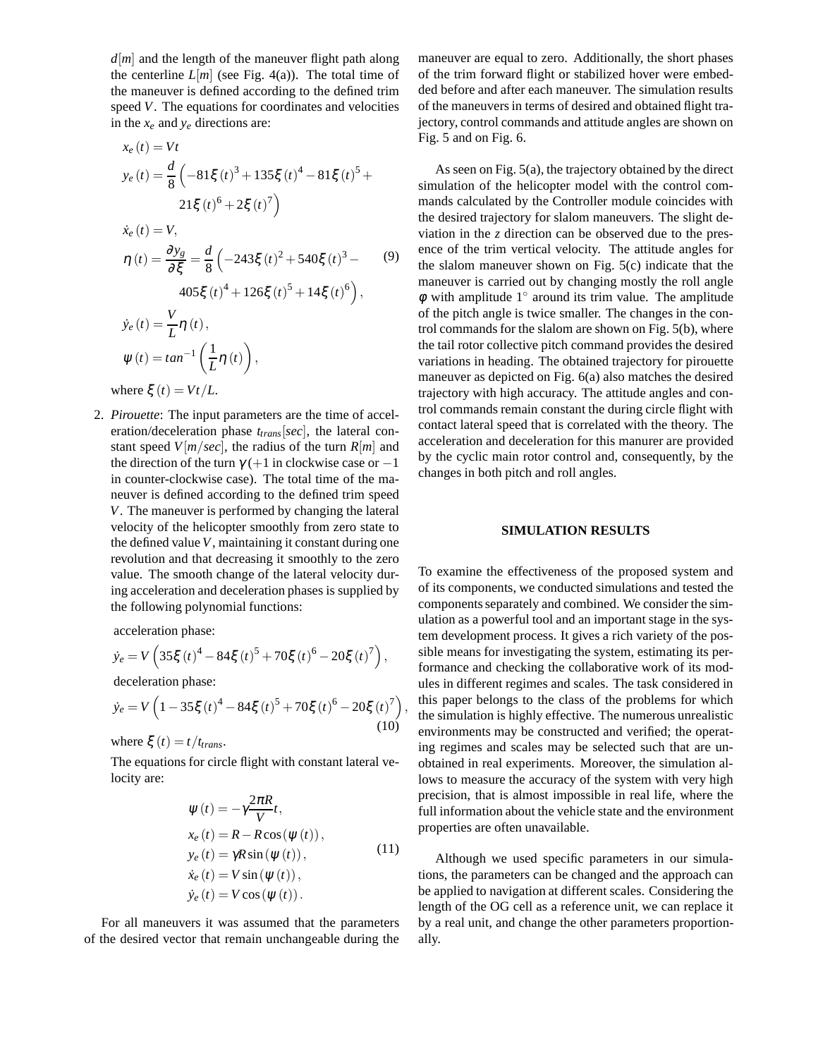$d[m]$  and the length of the maneuver flight path along the centerline  $L[m]$  (see Fig. 4(a)). The total time of the maneuver is defined according to the defined trim speed *V*. The equations for coordinates and velocities in the *x<sup>e</sup>* and *y<sup>e</sup>* directions are:

$$
x_e(t) = Vt
$$
  
\n
$$
y_e(t) = \frac{d}{8} \left( -81\xi(t)^3 + 135\xi(t)^4 - 81\xi(t)^5 + 21\xi(t)^6 + 2\xi(t)^7 \right)
$$
  
\n
$$
\dot{x}_e(t) = V,
$$
  
\n
$$
\eta(t) = \frac{\partial y_g}{\partial \xi} = \frac{d}{8} \left( -243\xi(t)^2 + 540\xi(t)^3 - 90405\xi(t)^4 + 126\xi(t)^5 + 14\xi(t)^6 \right),
$$
  
\n
$$
\dot{y}_e(t) = \frac{V}{L}\eta(t),
$$
  
\n
$$
\psi(t) = \tan^{-1}\left(\frac{1}{L}\eta(t)\right),
$$
  
\nwhere  $\xi(t) = Vt/L$ .

2. *Pirouette*: The input parameters are the time of acceleration/deceleration phase *ttrans*[*sec*], the lateral constant speed  $V[m/sec]$ , the radius of the turn  $R[m]$  and the direction of the turn  $\gamma$  (+1 in clockwise case or -1 in counter-clockwise case). The total time of the maneuver is defined according to the defined trim speed *V*. The maneuver is performed by changing the lateral velocity of the helicopter smoothly from zero state to the defined value*V*, maintaining it constant during one revolution and that decreasing it smoothly to the zero value. The smooth change of the lateral velocity during acceleration and deceleration phases is supplied by the following polynomial functions:

acceleration phase:

$$
\dot{y}_e = V \left( 35 \xi \left( t \right)^4 - 84 \xi \left( t \right)^5 + 70 \xi \left( t \right)^6 - 20 \xi \left( t \right)^7 \right),
$$
  
deceleration phase:

$$
\dot{y}_e = V \left( 1 - 35\xi (t)^4 - 84\xi (t)^5 + 70\xi (t)^6 - 20\xi (t)^7 \right)
$$
\n(10)

where  $\xi(t) = t/t_{trans}$ .

The equations for circle flight with constant lateral velocity are:

$$
\psi(t) = -\gamma \frac{2\pi R}{V}t,
$$
  
\n
$$
x_e(t) = R - R\cos(\psi(t)),
$$
  
\n
$$
y_e(t) = \gamma R\sin(\psi(t)),
$$
  
\n
$$
\dot{x}_e(t) = V\sin(\psi(t)),
$$
  
\n
$$
\dot{y}_e(t) = V\cos(\psi(t)).
$$
\n(11)

,

For all maneuvers it was assumed that the parameters of the desired vector that remain unchangeable during the maneuver are equal to zero. Additionally, the short phases of the trim forward flight or stabilized hover were embedded before and after each maneuver. The simulation results of the maneuvers in terms of desired and obtained flight trajectory, control commands and attitude angles are shown on Fig. 5 and on Fig. 6.

As seen on Fig. 5(a), the trajectory obtained by the direct simulation of the helicopter model with the control commands calculated by the Controller module coincides with the desired trajectory for slalom maneuvers. The slight deviation in the *z* direction can be observed due to the presence of the trim vertical velocity. The attitude angles for the slalom maneuver shown on Fig. 5(c) indicate that the maneuver is carried out by changing mostly the roll angle  $\phi$  with amplitude 1 $\degree$  around its trim value. The amplitude of the pitch angle is twice smaller. The changes in the control commands for the slalom are shown on Fig. 5(b), where the tail rotor collective pitch command provides the desired variations in heading. The obtained trajectory for pirouette maneuver as depicted on Fig. 6(a) also matches the desired trajectory with high accuracy. The attitude angles and control commands remain constant the during circle flight with contact lateral speed that is correlated with the theory. The acceleration and deceleration for this manurer are provided by the cyclic main rotor control and, consequently, by the changes in both pitch and roll angles.

## **SIMULATION RESULTS**

To examine the effectiveness of the proposed system and of its components, we conducted simulations and tested the components separately and combined. We consider the simulation as a powerful tool and an important stage in the system development process. It gives a rich variety of the possible means for investigating the system, estimating its performance and checking the collaborative work of its modules in different regimes and scales. The task considered in this paper belongs to the class of the problems for which the simulation is highly effective. The numerous unrealistic environments may be constructed and verified; the operating regimes and scales may be selected such that are unobtained in real experiments. Moreover, the simulation allows to measure the accuracy of the system with very high precision, that is almost impossible in real life, where the full information about the vehicle state and the environment properties are often unavailable.

Although we used specific parameters in our simulations, the parameters can be changed and the approach can be applied to navigation at different scales. Considering the length of the OG cell as a reference unit, we can replace it by a real unit, and change the other parameters proportionally.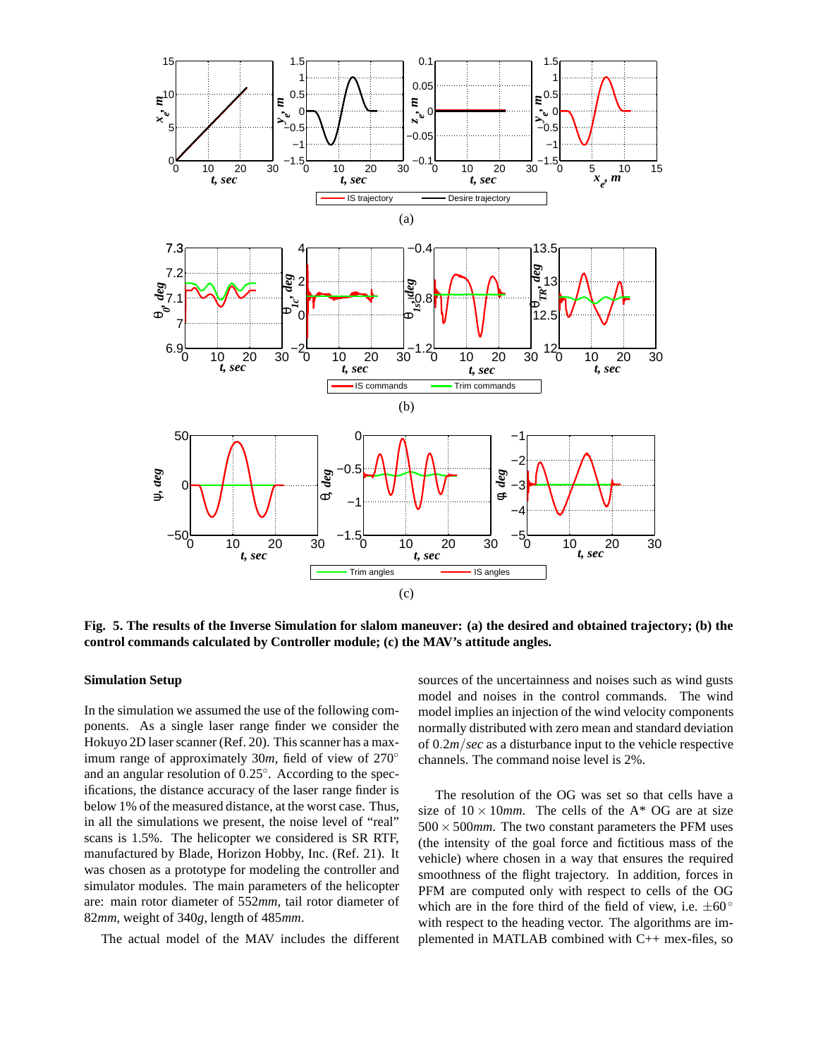

**Fig. 5. The results of the Inverse Simulation for slalom maneuver: (a) the desired and obtained trajectory; (b) the control commands calculated by Controller module; (c) the MAV's attitude angles.**

## **Simulation Setup**

In the simulation we assumed the use of the following components. As a single laser range finder we consider the Hokuyo 2D laser scanner (Ref. 20). This scanner has a maximum range of approximately 30*m*, field of view of 270◦ and an angular resolution of 0.25◦ . According to the specifications, the distance accuracy of the laser range finder is below 1% of the measured distance, at the worst case. Thus, in all the simulations we present, the noise level of "real" scans is 1.5%. The helicopter we considered is SR RTF, manufactured by Blade, Horizon Hobby, Inc. (Ref. 21). It was chosen as a prototype for modeling the controller and simulator modules. The main parameters of the helicopter are: main rotor diameter of 552*mm*, tail rotor diameter of 82*mm*, weight of 340*g*, length of 485*mm*.

The actual model of the MAV includes the different

sources of the uncertainness and noises such as wind gusts model and noises in the control commands. The wind model implies an injection of the wind velocity components normally distributed with zero mean and standard deviation of 0.2*m*/*sec* as a disturbance input to the vehicle respective channels. The command noise level is 2%.

The resolution of the OG was set so that cells have a size of  $10 \times 10$ *mm*. The cells of the A<sup>\*</sup> OG are at size 500 × 500*mm*. The two constant parameters the PFM uses (the intensity of the goal force and fictitious mass of the vehicle) where chosen in a way that ensures the required smoothness of the flight trajectory. In addition, forces in PFM are computed only with respect to cells of the OG which are in the fore third of the field of view, i.e.  $\pm 60^\circ$ with respect to the heading vector. The algorithms are implemented in MATLAB combined with C++ mex-files, so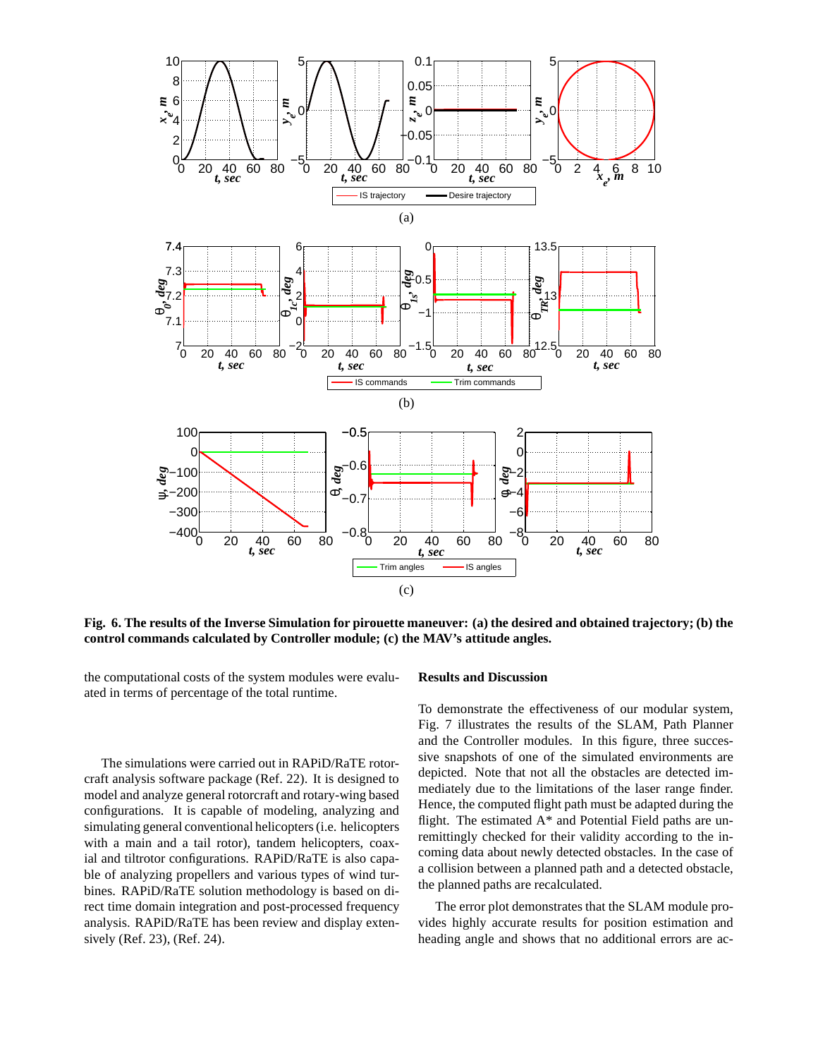

**Fig. 6. The results of the Inverse Simulation for pirouette maneuver: (a) the desired and obtained trajectory; (b) the control commands calculated by Controller module; (c) the MAV's attitude angles.**

the computational costs of the system modules were evaluated in terms of percentage of the total runtime.

The simulations were carried out in RAPiD/RaTE rotorcraft analysis software package (Ref. 22). It is designed to model and analyze general rotorcraft and rotary-wing based configurations. It is capable of modeling, analyzing and simulating general conventional helicopters (i.e. helicopters with a main and a tail rotor), tandem helicopters, coaxial and tiltrotor configurations. RAPiD/RaTE is also capable of analyzing propellers and various types of wind turbines. RAPiD/RaTE solution methodology is based on direct time domain integration and post-processed frequency analysis. RAPiD/RaTE has been review and display extensively (Ref. 23), (Ref. 24).

### **Results and Discussion**

To demonstrate the effectiveness of our modular system, Fig. 7 illustrates the results of the SLAM, Path Planner and the Controller modules. In this figure, three successive snapshots of one of the simulated environments are depicted. Note that not all the obstacles are detected immediately due to the limitations of the laser range finder. Hence, the computed flight path must be adapted during the flight. The estimated  $A^*$  and Potential Field paths are unremittingly checked for their validity according to the incoming data about newly detected obstacles. In the case of a collision between a planned path and a detected obstacle, the planned paths are recalculated.

The error plot demonstrates that the SLAM module provides highly accurate results for position estimation and heading angle and shows that no additional errors are ac-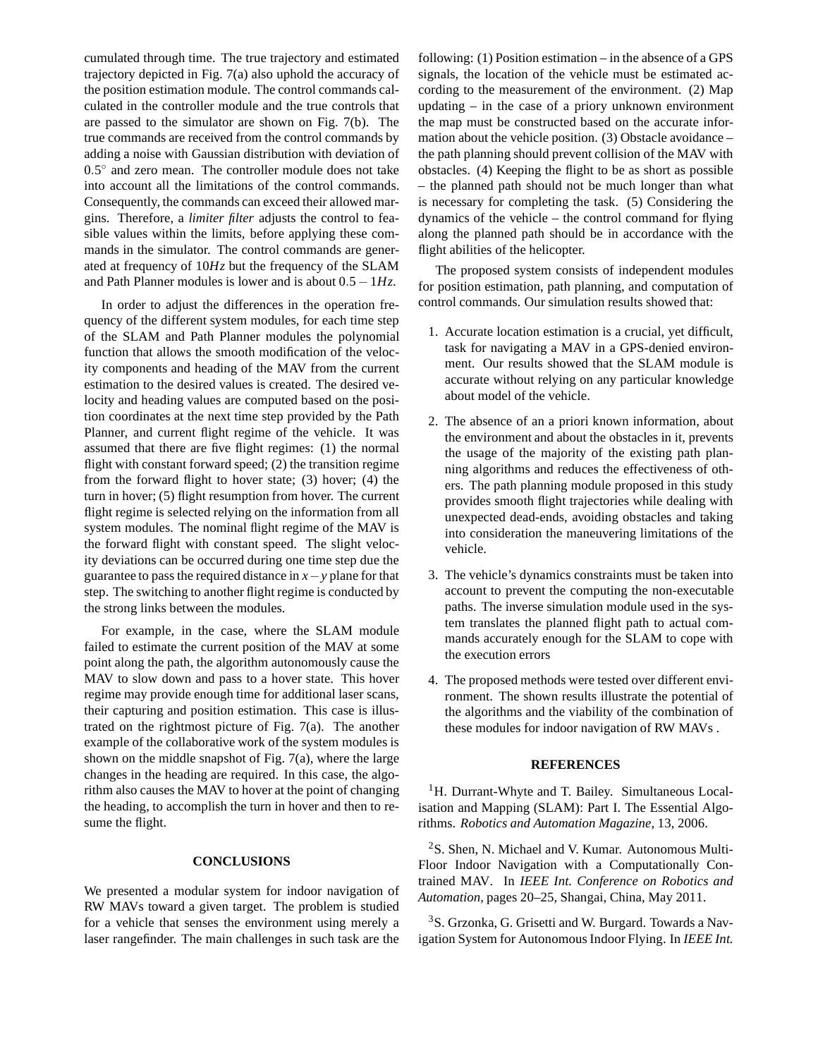cumulated through time. The true trajectory and estimated trajectory depicted in Fig. 7(a) also uphold the accuracy of the position estimation module. The control commands calculated in the controller module and the true controls that are passed to the simulator are shown on Fig. 7(b). The true commands are received from the control commands by adding a noise with Gaussian distribution with deviation of 0.5° and zero mean. The controller module does not take into account all the limitations of the control commands. Consequently, the commands can exceed their allowed margins. Therefore, a *limiter filter* adjusts the control to feasible values within the limits, before applying these commands in the simulator. The control commands are generated at frequency of 10*Hz* but the frequency of the SLAM and Path Planner modules is lower and is about 0.5−1*Hz*.

In order to adjust the differences in the operation frequency of the different system modules, for each time step of the SLAM and Path Planner modules the polynomial function that allows the smooth modification of the velocity components and heading of the MAV from the current estimation to the desired values is created. The desired velocity and heading values are computed based on the position coordinates at the next time step provided by the Path Planner, and current flight regime of the vehicle. It was assumed that there are five flight regimes: (1) the normal flight with constant forward speed; (2) the transition regime from the forward flight to hover state; (3) hover; (4) the turn in hover; (5) flight resumption from hover. The current flight regime is selected relying on the information from all system modules. The nominal flight regime of the MAV is the forward flight with constant speed. The slight velocity deviations can be occurred during one time step due the guarantee to pass the required distance in *x*−*y* plane for that step. The switching to another flight regime is conducted by the strong links between the modules.

For example, in the case, where the SLAM module failed to estimate the current position of the MAV at some point along the path, the algorithm autonomously cause the MAV to slow down and pass to a hover state. This hover regime may provide enough time for additional laser scans, their capturing and position estimation. This case is illustrated on the rightmost picture of Fig. 7(a). The another example of the collaborative work of the system modules is shown on the middle snapshot of Fig. 7(a), where the large changes in the heading are required. In this case, the algorithm also causes the MAV to hover at the point of changing the heading, to accomplish the turn in hover and then to resume the flight.

## **CONCLUSIONS**

We presented a modular system for indoor navigation of RW MAVs toward a given target. The problem is studied for a vehicle that senses the environment using merely a laser rangefinder. The main challenges in such task are the following: (1) Position estimation – in the absence of a GPS signals, the location of the vehicle must be estimated according to the measurement of the environment. (2) Map updating – in the case of a priory unknown environment the map must be constructed based on the accurate information about the vehicle position. (3) Obstacle avoidance – the path planning should prevent collision of the MAV with obstacles. (4) Keeping the flight to be as short as possible – the planned path should not be much longer than what is necessary for completing the task. (5) Considering the dynamics of the vehicle – the control command for flying along the planned path should be in accordance with the flight abilities of the helicopter.

The proposed system consists of independent modules for position estimation, path planning, and computation of control commands. Our simulation results showed that:

- 1. Accurate location estimation is a crucial, yet difficult, task for navigating a MAV in a GPS-denied environment. Our results showed that the SLAM module is accurate without relying on any particular knowledge about model of the vehicle.
- 2. The absence of an a priori known information, about the environment and about the obstacles in it, prevents the usage of the majority of the existing path planning algorithms and reduces the effectiveness of others. The path planning module proposed in this study provides smooth flight trajectories while dealing with unexpected dead-ends, avoiding obstacles and taking into consideration the maneuvering limitations of the vehicle.
- 3. The vehicle's dynamics constraints must be taken into account to prevent the computing the non-executable paths. The inverse simulation module used in the system translates the planned flight path to actual commands accurately enough for the SLAM to cope with the execution errors
- 4. The proposed methods were tested over different environment. The shown results illustrate the potential of the algorithms and the viability of the combination of these modules for indoor navigation of RW MAVs .

## **REFERENCES**

<sup>1</sup>H. Durrant-Whyte and T. Bailey. Simultaneous Localisation and Mapping (SLAM): Part I. The Essential Algorithms. *Robotics and Automation Magazine*, 13, 2006.

<sup>2</sup>S. Shen, N. Michael and V. Kumar. Autonomous Multi-Floor Indoor Navigation with a Computationally Contrained MAV. In *IEEE Int. Conference on Robotics and Automation*, pages 20–25, Shangai, China, May 2011.

<sup>3</sup>S. Grzonka, G. Grisetti and W. Burgard. Towards a Navigation System for Autonomous Indoor Flying. In *IEEE Int.*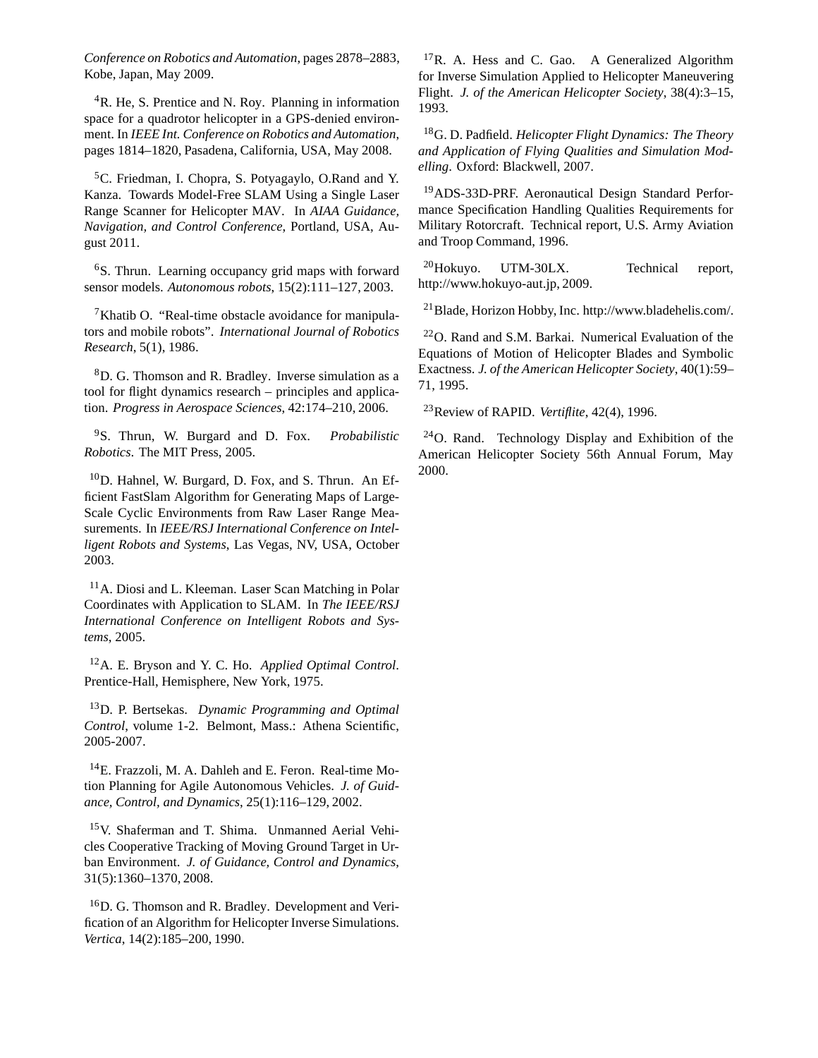*Conference on Robotics and Automation*, pages 2878–2883, Kobe, Japan, May 2009.

<sup>4</sup>R. He, S. Prentice and N. Roy. Planning in information space for a quadrotor helicopter in a GPS-denied environment. In *IEEE Int. Conference on Robotics and Automation*, pages 1814–1820, Pasadena, California, USA, May 2008.

<sup>5</sup>C. Friedman, I. Chopra, S. Potyagaylo, O.Rand and Y. Kanza. Towards Model-Free SLAM Using a Single Laser Range Scanner for Helicopter MAV. In *AIAA Guidance, Navigation, and Control Conference*, Portland, USA, August 2011.

<sup>6</sup>S. Thrun. Learning occupancy grid maps with forward sensor models. *Autonomous robots*, 15(2):111–127, 2003.

<sup>7</sup>Khatib O. "Real-time obstacle avoidance for manipulators and mobile robots". *International Journal of Robotics Research*, 5(1), 1986.

<sup>8</sup>D. G. Thomson and R. Bradley. Inverse simulation as a tool for flight dynamics research – principles and application. *Progress in Aerospace Sciences*, 42:174–210, 2006.

<sup>9</sup>S. Thrun, W. Burgard and D. Fox. *Probabilistic Robotics*. The MIT Press, 2005.

<sup>10</sup>D. Hahnel, W. Burgard, D. Fox, and S. Thrun. An Efficient FastSlam Algorithm for Generating Maps of Large-Scale Cyclic Environments from Raw Laser Range Measurements. In *IEEE/RSJ International Conference on Intelligent Robots and Systems*, Las Vegas, NV, USA, October 2003.

<sup>11</sup>A. Diosi and L. Kleeman. Laser Scan Matching in Polar Coordinates with Application to SLAM. In *The IEEE/RSJ International Conference on Intelligent Robots and Systems*, 2005.

<sup>12</sup>A. E. Bryson and Y. C. Ho. *Applied Optimal Control*. Prentice-Hall, Hemisphere, New York, 1975.

<sup>13</sup>D. P. Bertsekas. *Dynamic Programming and Optimal Control*, volume 1-2. Belmont, Mass.: Athena Scientific, 2005-2007.

<sup>14</sup>E. Frazzoli, M. A. Dahleh and E. Feron. Real-time Motion Planning for Agile Autonomous Vehicles. *J. of Guidance, Control, and Dynamics*, 25(1):116–129, 2002.

<sup>15</sup>V. Shaferman and T. Shima. Unmanned Aerial Vehicles Cooperative Tracking of Moving Ground Target in Urban Environment. *J. of Guidance, Control and Dynamics*, 31(5):1360–1370, 2008.

<sup>16</sup>D. G. Thomson and R. Bradley. Development and Verification of an Algorithm for Helicopter Inverse Simulations. *Vertica*, 14(2):185–200, 1990.

<sup>17</sup>R. A. Hess and C. Gao. A Generalized Algorithm for Inverse Simulation Applied to Helicopter Maneuvering Flight. *J. of the American Helicopter Society*, 38(4):3–15, 1993.

<sup>18</sup>G. D. Padfield. *Helicopter Flight Dynamics: The Theory and Application of Flying Qualities and Simulation Modelling*. Oxford: Blackwell, 2007.

<sup>19</sup>ADS-33D-PRF. Aeronautical Design Standard Performance Specification Handling Qualities Requirements for Military Rotorcraft. Technical report, U.S. Army Aviation and Troop Command, 1996.

<sup>20</sup>Hokuyo. UTM-30LX. Technical report, http://www.hokuyo-aut.jp, 2009.

<sup>21</sup>Blade, Horizon Hobby, Inc. http://www.bladehelis.com/.

<sup>22</sup>O. Rand and S.M. Barkai. Numerical Evaluation of the Equations of Motion of Helicopter Blades and Symbolic Exactness. *J. of the American Helicopter Society*, 40(1):59– 71, 1995.

<sup>23</sup>Review of RAPID. *Vertiflite*, 42(4), 1996.

<sup>24</sup>O. Rand. Technology Display and Exhibition of the American Helicopter Society 56th Annual Forum, May 2000.